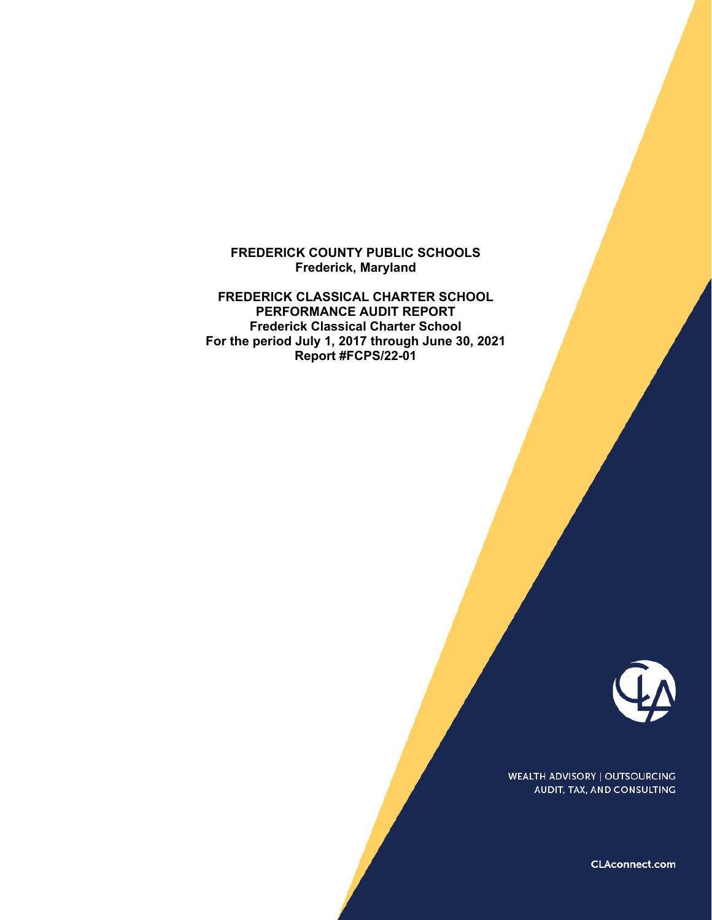## **FREDERICK COUNTY PUBLIC SCHOOLS Frederick, Maryland**

**FREDERICK CLASSICAL CHARTER SCHOOL PERFORMANCE AUDIT REPORT Frederick Classical Charter School For the period July 1, 2017 through June 30, 2021 Report #FCPS/22-01** 



**WEALTH ADVISORY | OUTSOURCING** AUDIT, TAX, AND CONSULTING

CLAconnect.com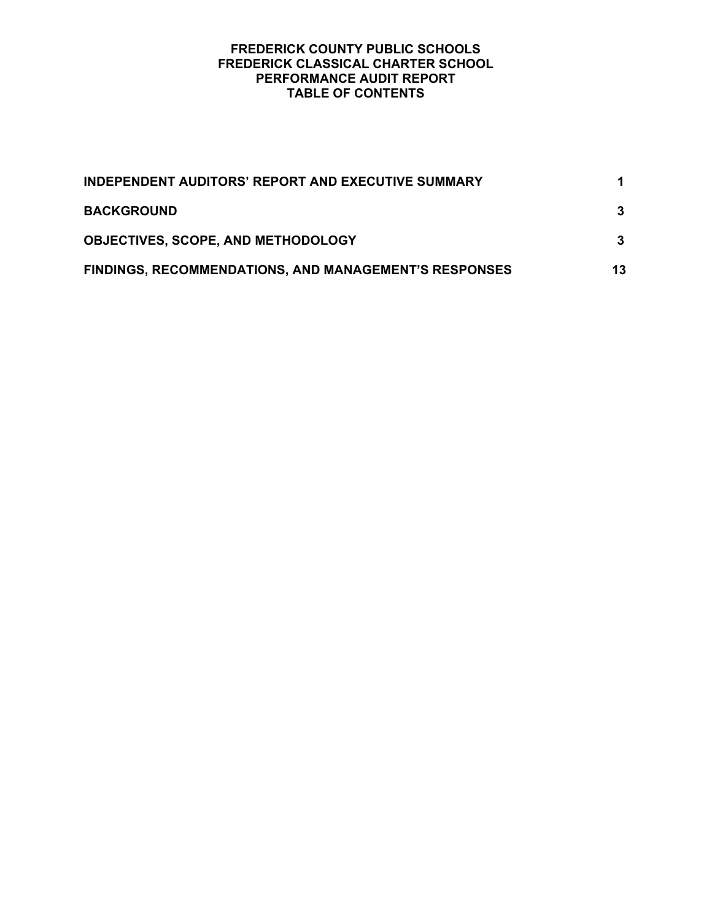| <b>INDEPENDENT AUDITORS' REPORT AND EXECUTIVE SUMMARY</b> |    |
|-----------------------------------------------------------|----|
| <b>BACKGROUND</b>                                         |    |
| <b>OBJECTIVES, SCOPE, AND METHODOLOGY</b>                 |    |
| FINDINGS, RECOMMENDATIONS, AND MANAGEMENT'S RESPONSES     | 13 |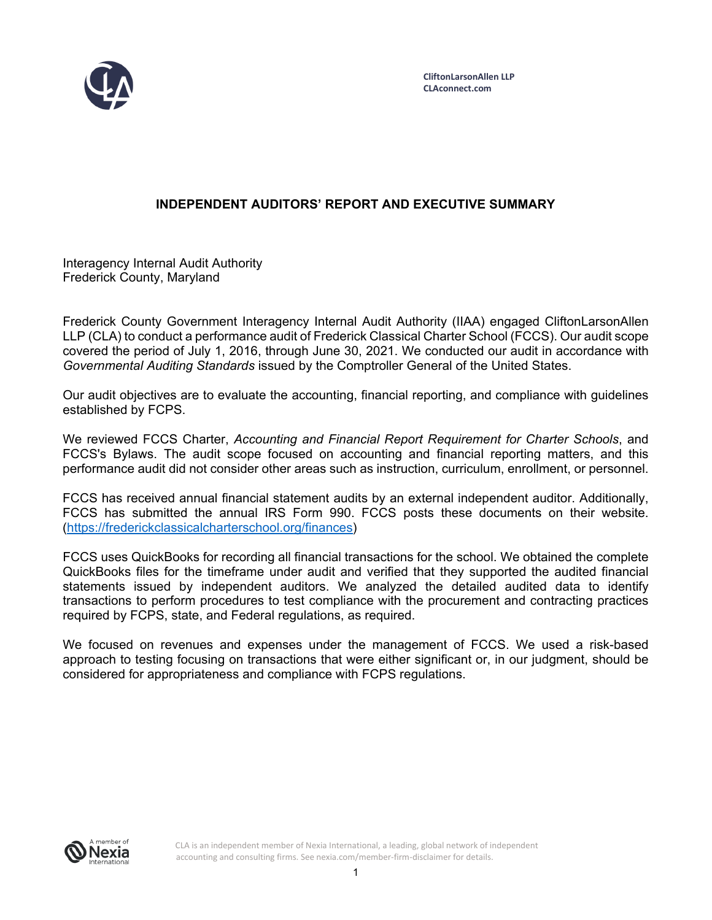

# **INDEPENDENT AUDITORS' REPORT AND EXECUTIVE SUMMARY**

Interagency Internal Audit Authority Frederick County, Maryland

Frederick County Government Interagency Internal Audit Authority (IIAA) engaged CliftonLarsonAllen LLP (CLA) to conduct a performance audit of Frederick Classical Charter School (FCCS). Our audit scope covered the period of July 1, 2016, through June 30, 2021. We conducted our audit in accordance with *Governmental Auditing Standards* issued by the Comptroller General of the United States.

Our audit objectives are to evaluate the accounting, financial reporting, and compliance with guidelines established by FCPS.

We reviewed FCCS Charter, *Accounting and Financial Report Requirement for Charter Schools*, and FCCS's Bylaws. The audit scope focused on accounting and financial reporting matters, and this performance audit did not consider other areas such as instruction, curriculum, enrollment, or personnel.

FCCS has received annual financial statement audits by an external independent auditor. Additionally, FCCS has submitted the annual IRS Form 990. FCCS posts these documents on their website. (https://frederickclassicalcharterschool.org/finances)

FCCS uses QuickBooks for recording all financial transactions for the school. We obtained the complete QuickBooks files for the timeframe under audit and verified that they supported the audited financial statements issued by independent auditors. We analyzed the detailed audited data to identify transactions to perform procedures to test compliance with the procurement and contracting practices required by FCPS, state, and Federal regulations, as required.

We focused on revenues and expenses under the management of FCCS. We used a risk-based approach to testing focusing on transactions that were either significant or, in our judgment, should be considered for appropriateness and compliance with FCPS regulations.



CLA is an independent member of Nexia International, a leading, global network of independent accounting and consulting firms. See nexia.com/member-firm-disclaimer for details.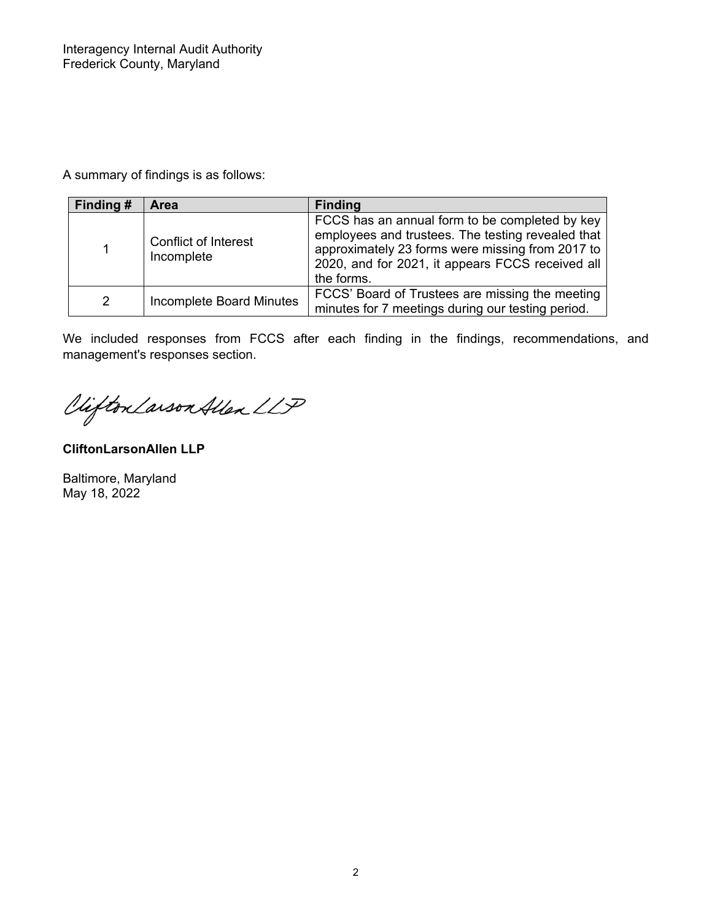A summary of findings is as follows:

| Finding #     | <b>Area</b>                               | <b>Finding</b>                                                                                                                                                                                                            |
|---------------|-------------------------------------------|---------------------------------------------------------------------------------------------------------------------------------------------------------------------------------------------------------------------------|
|               | <b>Conflict of Interest</b><br>Incomplete | FCCS has an annual form to be completed by key<br>employees and trustees. The testing revealed that<br>approximately 23 forms were missing from 2017 to<br>2020, and for 2021, it appears FCCS received all<br>the forms. |
| $\mathcal{P}$ | <b>Incomplete Board Minutes</b>           | FCCS' Board of Trustees are missing the meeting<br>minutes for 7 meetings during our testing period.                                                                                                                      |

We included responses from FCCS after each finding in the findings, recommendations, and management's responses section.

Clifton Larson Allen LLP

**CliftonLarsonAllen LLP** 

Baltimore, Maryland May 18, 2022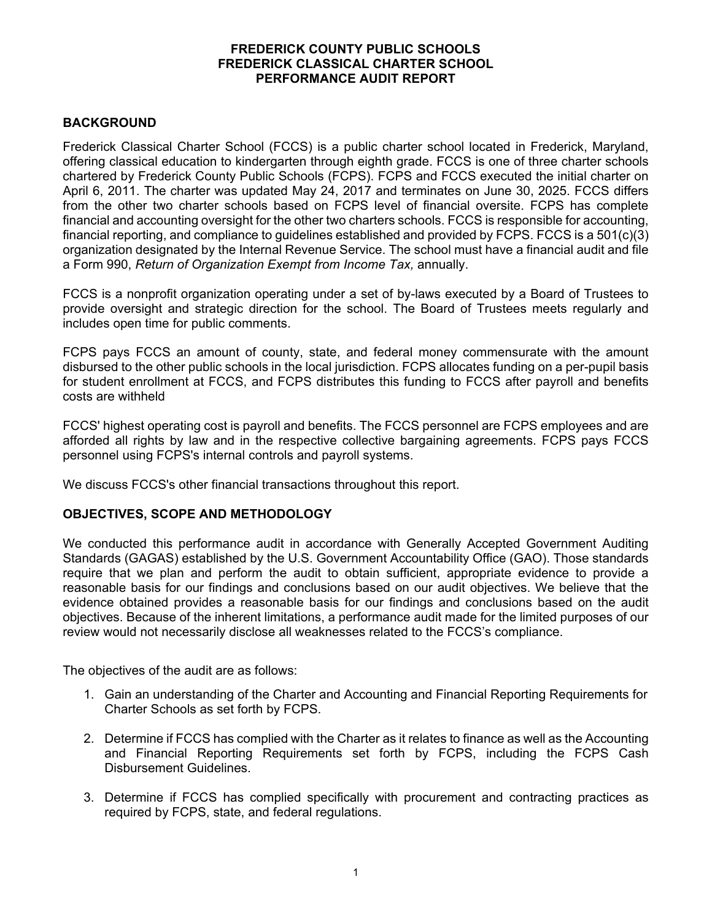# **BACKGROUND**

Frederick Classical Charter School (FCCS) is a public charter school located in Frederick, Maryland, offering classical education to kindergarten through eighth grade. FCCS is one of three charter schools chartered by Frederick County Public Schools (FCPS). FCPS and FCCS executed the initial charter on April 6, 2011. The charter was updated May 24, 2017 and terminates on June 30, 2025. FCCS differs from the other two charter schools based on FCPS level of financial oversite. FCPS has complete financial and accounting oversight for the other two charters schools. FCCS is responsible for accounting, financial reporting, and compliance to guidelines established and provided by FCPS. FCCS is a 501(c)(3) organization designated by the Internal Revenue Service. The school must have a financial audit and file a Form 990, *Return of Organization Exempt from Income Tax,* annually.

FCCS is a nonprofit organization operating under a set of by-laws executed by a Board of Trustees to provide oversight and strategic direction for the school. The Board of Trustees meets regularly and includes open time for public comments.

FCPS pays FCCS an amount of county, state, and federal money commensurate with the amount disbursed to the other public schools in the local jurisdiction. FCPS allocates funding on a per-pupil basis for student enrollment at FCCS, and FCPS distributes this funding to FCCS after payroll and benefits costs are withheld

FCCS' highest operating cost is payroll and benefits. The FCCS personnel are FCPS employees and are afforded all rights by law and in the respective collective bargaining agreements. FCPS pays FCCS personnel using FCPS's internal controls and payroll systems.

We discuss FCCS's other financial transactions throughout this report.

## **OBJECTIVES, SCOPE AND METHODOLOGY**

We conducted this performance audit in accordance with Generally Accepted Government Auditing Standards (GAGAS) established by the U.S. Government Accountability Office (GAO). Those standards require that we plan and perform the audit to obtain sufficient, appropriate evidence to provide a reasonable basis for our findings and conclusions based on our audit objectives. We believe that the evidence obtained provides a reasonable basis for our findings and conclusions based on the audit objectives. Because of the inherent limitations, a performance audit made for the limited purposes of our review would not necessarily disclose all weaknesses related to the FCCS's compliance.

The objectives of the audit are as follows:

- 1. Gain an understanding of the Charter and Accounting and Financial Reporting Requirements for Charter Schools as set forth by FCPS.
- 2. Determine if FCCS has complied with the Charter as it relates to finance as well as the Accounting and Financial Reporting Requirements set forth by FCPS, including the FCPS Cash Disbursement Guidelines.
- 3. Determine if FCCS has complied specifically with procurement and contracting practices as required by FCPS, state, and federal regulations.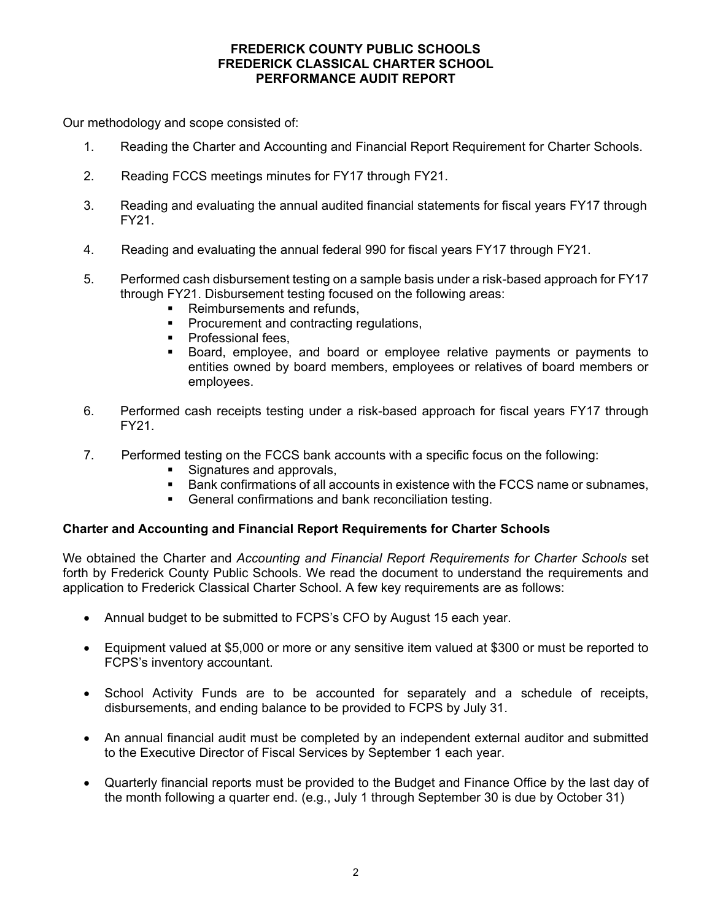Our methodology and scope consisted of:

- 1. Reading the Charter and Accounting and Financial Report Requirement for Charter Schools.
- 2. Reading FCCS meetings minutes for FY17 through FY21.
- 3. Reading and evaluating the annual audited financial statements for fiscal years FY17 through FY21.
- 4. Reading and evaluating the annual federal 990 for fiscal years FY17 through FY21.
- 5. Performed cash disbursement testing on a sample basis under a risk-based approach for FY17 through FY21. Disbursement testing focused on the following areas:
	- **Reimbursements and refunds.**
	- **Procurement and contracting regulations,**
	- **Professional fees.**
	- Board, employee, and board or employee relative payments or payments to entities owned by board members, employees or relatives of board members or employees.
- 6. Performed cash receipts testing under a risk-based approach for fiscal years FY17 through FY21.
- 7. Performed testing on the FCCS bank accounts with a specific focus on the following:
	- **Signatures and approvals,**
	- **Bank confirmations of all accounts in existence with the FCCS name or subnames,**
	- General confirmations and bank reconciliation testing.

## **Charter and Accounting and Financial Report Requirements for Charter Schools**

We obtained the Charter and *Accounting and Financial Report Requirements for Charter Schools* set forth by Frederick County Public Schools. We read the document to understand the requirements and application to Frederick Classical Charter School. A few key requirements are as follows:

- Annual budget to be submitted to FCPS's CFO by August 15 each year.
- Equipment valued at \$5,000 or more or any sensitive item valued at \$300 or must be reported to FCPS's inventory accountant.
- School Activity Funds are to be accounted for separately and a schedule of receipts, disbursements, and ending balance to be provided to FCPS by July 31.
- An annual financial audit must be completed by an independent external auditor and submitted to the Executive Director of Fiscal Services by September 1 each year.
- Quarterly financial reports must be provided to the Budget and Finance Office by the last day of the month following a quarter end. (e.g., July 1 through September 30 is due by October 31)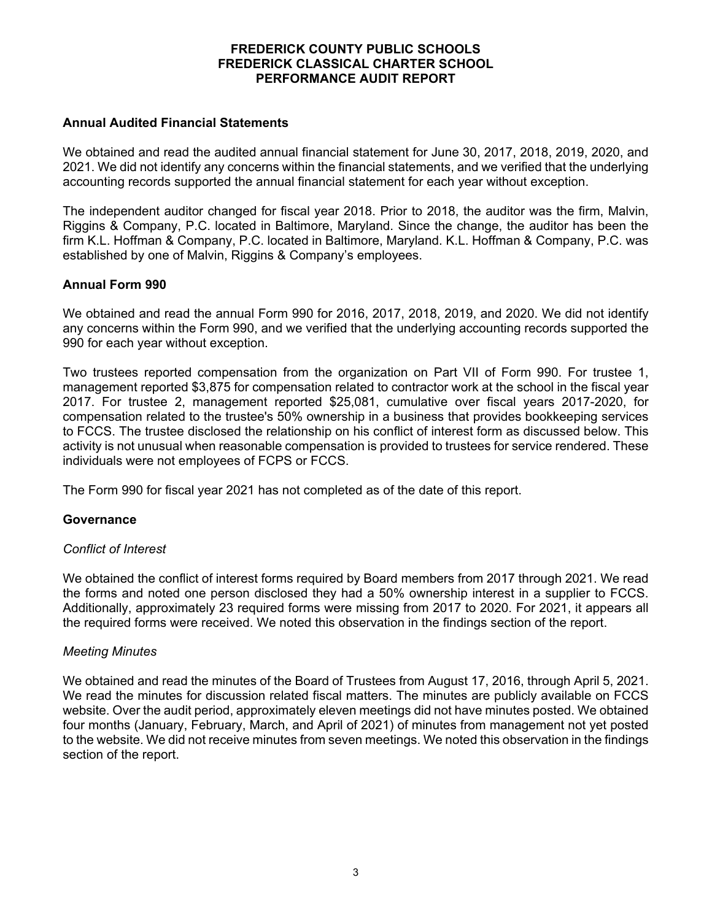### **Annual Audited Financial Statements**

We obtained and read the audited annual financial statement for June 30, 2017, 2018, 2019, 2020, and 2021. We did not identify any concerns within the financial statements, and we verified that the underlying accounting records supported the annual financial statement for each year without exception.

The independent auditor changed for fiscal year 2018. Prior to 2018, the auditor was the firm, Malvin, Riggins & Company, P.C. located in Baltimore, Maryland. Since the change, the auditor has been the firm K.L. Hoffman & Company, P.C. located in Baltimore, Maryland. K.L. Hoffman & Company, P.C. was established by one of Malvin, Riggins & Company's employees.

## **Annual Form 990**

We obtained and read the annual Form 990 for 2016, 2017, 2018, 2019, and 2020. We did not identify any concerns within the Form 990, and we verified that the underlying accounting records supported the 990 for each year without exception.

Two trustees reported compensation from the organization on Part VII of Form 990. For trustee 1, management reported \$3,875 for compensation related to contractor work at the school in the fiscal year 2017. For trustee 2, management reported \$25,081, cumulative over fiscal years 2017-2020, for compensation related to the trustee's 50% ownership in a business that provides bookkeeping services to FCCS. The trustee disclosed the relationship on his conflict of interest form as discussed below. This activity is not unusual when reasonable compensation is provided to trustees for service rendered. These individuals were not employees of FCPS or FCCS.

The Form 990 for fiscal year 2021 has not completed as of the date of this report.

#### **Governance**

#### *Conflict of Interest*

We obtained the conflict of interest forms required by Board members from 2017 through 2021. We read the forms and noted one person disclosed they had a 50% ownership interest in a supplier to FCCS. Additionally, approximately 23 required forms were missing from 2017 to 2020. For 2021, it appears all the required forms were received. We noted this observation in the findings section of the report.

#### *Meeting Minutes*

We obtained and read the minutes of the Board of Trustees from August 17, 2016, through April 5, 2021. We read the minutes for discussion related fiscal matters. The minutes are publicly available on FCCS website. Over the audit period, approximately eleven meetings did not have minutes posted. We obtained four months (January, February, March, and April of 2021) of minutes from management not yet posted to the website. We did not receive minutes from seven meetings. We noted this observation in the findings section of the report.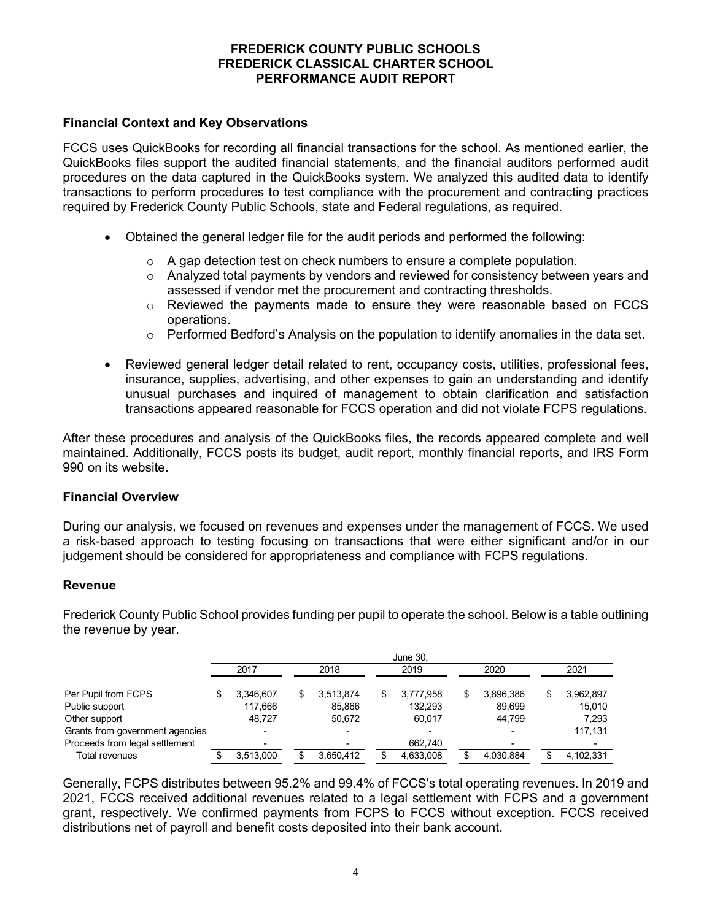## **Financial Context and Key Observations**

FCCS uses QuickBooks for recording all financial transactions for the school. As mentioned earlier, the QuickBooks files support the audited financial statements, and the financial auditors performed audit procedures on the data captured in the QuickBooks system. We analyzed this audited data to identify transactions to perform procedures to test compliance with the procurement and contracting practices required by Frederick County Public Schools, state and Federal regulations, as required.

- Obtained the general ledger file for the audit periods and performed the following:
	- $\circ$  A gap detection test on check numbers to ensure a complete population.
	- $\circ$  Analyzed total payments by vendors and reviewed for consistency between years and assessed if vendor met the procurement and contracting thresholds.
	- $\circ$  Reviewed the payments made to ensure they were reasonable based on FCCS operations.
	- $\circ$  Performed Bedford's Analysis on the population to identify anomalies in the data set.
- Reviewed general ledger detail related to rent, occupancy costs, utilities, professional fees, insurance, supplies, advertising, and other expenses to gain an understanding and identify unusual purchases and inquired of management to obtain clarification and satisfaction transactions appeared reasonable for FCCS operation and did not violate FCPS regulations.

After these procedures and analysis of the QuickBooks files, the records appeared complete and well maintained. Additionally, FCCS posts its budget, audit report, monthly financial reports, and IRS Form 990 on its website.

#### **Financial Overview**

During our analysis, we focused on revenues and expenses under the management of FCCS. We used a risk-based approach to testing focusing on transactions that were either significant and/or in our judgement should be considered for appropriateness and compliance with FCPS regulations.

#### **Revenue**

Frederick County Public School provides funding per pupil to operate the school. Below is a table outlining the revenue by year.

|                                 | <b>June 30.</b> |           |    |           |  |           |  |           |    |           |  |
|---------------------------------|-----------------|-----------|----|-----------|--|-----------|--|-----------|----|-----------|--|
|                                 |                 | 2017      |    | 2018      |  | 2019      |  | 2020      |    | 2021      |  |
| Per Pupil from FCPS             |                 | 3.346.607 | \$ | 3.513.874 |  | 3.777.958 |  | 3.896.386 | \$ | 3,962,897 |  |
| Public support                  |                 | 117.666   |    | 85.866    |  | 132.293   |  | 89.699    |    | 15.010    |  |
| Other support                   |                 | 48.727    |    | 50.672    |  | 60.017    |  | 44.799    |    | 7.293     |  |
| Grants from government agencies |                 | -         |    |           |  |           |  |           |    | 117.131   |  |
| Proceeds from legal settlement  |                 | -         |    |           |  | 662,740   |  |           |    | -         |  |
| <b>Total revenues</b>           |                 | 3.513.000 |    | 3,650,412 |  | 4,633,008 |  | 4.030.884 |    | 4,102,331 |  |

Generally, FCPS distributes between 95.2% and 99.4% of FCCS's total operating revenues. In 2019 and 2021, FCCS received additional revenues related to a legal settlement with FCPS and a government grant, respectively. We confirmed payments from FCPS to FCCS without exception. FCCS received distributions net of payroll and benefit costs deposited into their bank account.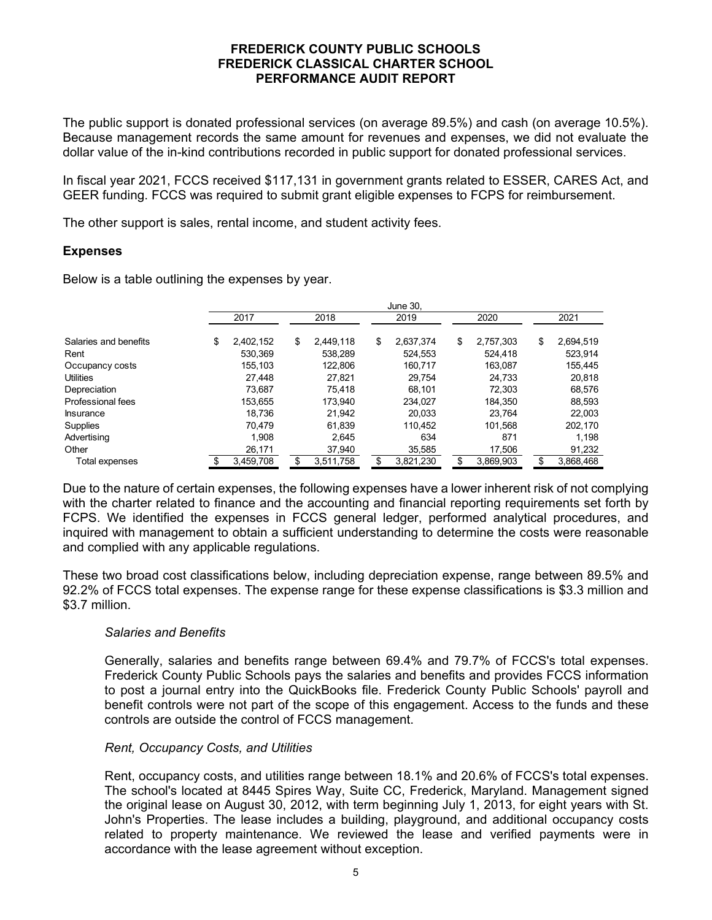The public support is donated professional services (on average 89.5%) and cash (on average 10.5%). Because management records the same amount for revenues and expenses, we did not evaluate the dollar value of the in-kind contributions recorded in public support for donated professional services.

In fiscal year 2021, FCCS received \$117,131 in government grants related to ESSER, CARES Act, and GEER funding. FCCS was required to submit grant eligible expenses to FCPS for reimbursement.

The other support is sales, rental income, and student activity fees.

### **Expenses**

Below is a table outlining the expenses by year.

|                       | June 30. |           |    |           |    |           |    |           |    |           |
|-----------------------|----------|-----------|----|-----------|----|-----------|----|-----------|----|-----------|
|                       |          | 2017      |    | 2018      |    | 2019      |    | 2020      |    | 2021      |
| Salaries and benefits | \$       | 2,402,152 | \$ | 2.449.118 | \$ | 2,637,374 | \$ | 2,757,303 | \$ | 2,694,519 |
| Rent                  |          | 530.369   |    | 538,289   |    | 524,553   |    | 524,418   |    | 523,914   |
| Occupancy costs       |          | 155.103   |    | 122,806   |    | 160,717   |    | 163,087   |    | 155,445   |
| <b>Utilities</b>      |          | 27.448    |    | 27.821    |    | 29.754    |    | 24.733    |    | 20,818    |
| Depreciation          |          | 73.687    |    | 75.418    |    | 68.101    |    | 72.303    |    | 68,576    |
| Professional fees     |          | 153.655   |    | 173.940   |    | 234.027   |    | 184.350   |    | 88,593    |
| <b>Insurance</b>      |          | 18.736    |    | 21,942    |    | 20,033    |    | 23,764    |    | 22,003    |
| <b>Supplies</b>       |          | 70.479    |    | 61,839    |    | 110.452   |    | 101.568   |    | 202,170   |
| Advertising           |          | 1.908     |    | 2.645     |    | 634       |    | 871       |    | 1.198     |
| Other                 |          | 26,171    |    | 37,940    |    | 35,585    |    | 17,506    |    | 91,232    |
| Total expenses        |          | 3,459,708 |    | 3,511,758 |    | 3,821,230 |    | 3,869,903 |    | 3,868,468 |

Due to the nature of certain expenses, the following expenses have a lower inherent risk of not complying with the charter related to finance and the accounting and financial reporting requirements set forth by FCPS. We identified the expenses in FCCS general ledger, performed analytical procedures, and inquired with management to obtain a sufficient understanding to determine the costs were reasonable and complied with any applicable regulations.

These two broad cost classifications below, including depreciation expense, range between 89.5% and 92.2% of FCCS total expenses. The expense range for these expense classifications is \$3.3 million and \$3.7 million.

## *Salaries and Benefits*

Generally, salaries and benefits range between 69.4% and 79.7% of FCCS's total expenses. Frederick County Public Schools pays the salaries and benefits and provides FCCS information to post a journal entry into the QuickBooks file. Frederick County Public Schools' payroll and benefit controls were not part of the scope of this engagement. Access to the funds and these controls are outside the control of FCCS management.

## *Rent, Occupancy Costs, and Utilities*

Rent, occupancy costs, and utilities range between 18.1% and 20.6% of FCCS's total expenses. The school's located at 8445 Spires Way, Suite CC, Frederick, Maryland. Management signed the original lease on August 30, 2012, with term beginning July 1, 2013, for eight years with St. John's Properties. The lease includes a building, playground, and additional occupancy costs related to property maintenance. We reviewed the lease and verified payments were in accordance with the lease agreement without exception.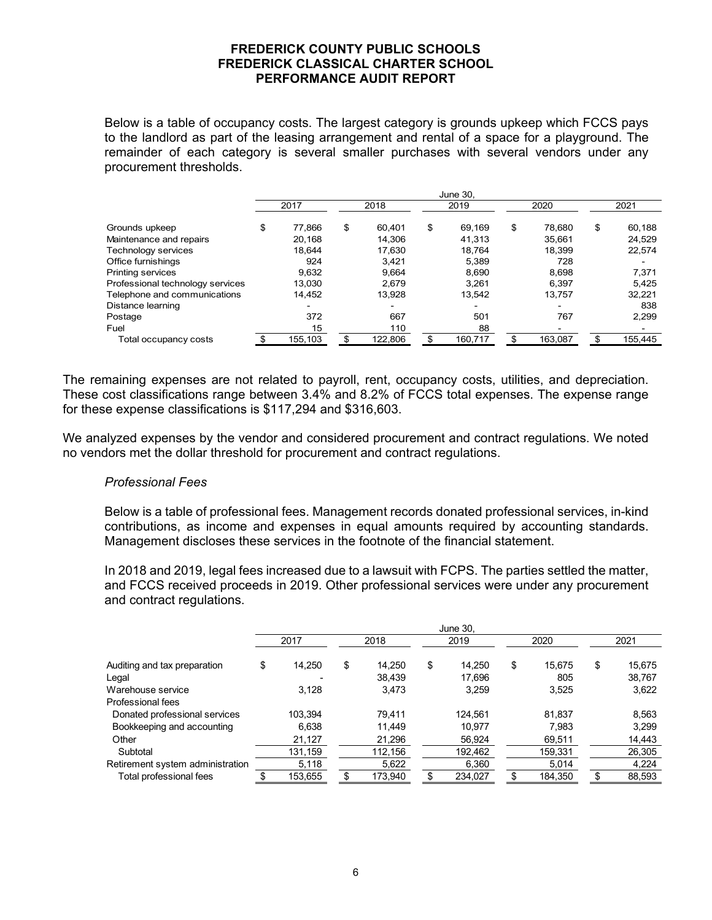Below is a table of occupancy costs. The largest category is grounds upkeep which FCCS pays to the landlord as part of the leasing arrangement and rental of a space for a playground. The remainder of each category is several smaller purchases with several vendors under any procurement thresholds.

|                                  | June 30. |         |    |         |    |         |    |         |    |         |  |
|----------------------------------|----------|---------|----|---------|----|---------|----|---------|----|---------|--|
|                                  |          | 2017    |    | 2018    |    | 2019    |    | 2020    |    | 2021    |  |
| Grounds upkeep                   | \$       | 77.866  | \$ | 60.401  | \$ | 69.169  | \$ | 78.680  | \$ | 60,188  |  |
| Maintenance and repairs          |          | 20.168  |    | 14.306  |    | 41,313  |    | 35,661  |    | 24,529  |  |
| Technology services              |          | 18,644  |    | 17,630  |    | 18.764  |    | 18,399  |    | 22,574  |  |
| Office furnishings               |          | 924     |    | 3.421   |    | 5.389   |    | 728     |    |         |  |
| Printing services                |          | 9,632   |    | 9.664   |    | 8.690   |    | 8,698   |    | 7,371   |  |
| Professional technology services |          | 13,030  |    | 2,679   |    | 3.261   |    | 6,397   |    | 5.425   |  |
| Telephone and communications     |          | 14,452  |    | 13.928  |    | 13.542  |    | 13,757  |    | 32,221  |  |
| Distance learning                |          |         |    | $\,$    |    |         |    |         |    | 838     |  |
| Postage                          |          | 372     |    | 667     |    | 501     |    | 767     |    | 2,299   |  |
| Fuel                             |          | 15      |    | 110     |    | 88      |    |         |    |         |  |
| Total occupancy costs            |          | 155,103 | \$ | 122.806 |    | 160,717 |    | 163,087 | \$ | 155,445 |  |

The remaining expenses are not related to payroll, rent, occupancy costs, utilities, and depreciation. These cost classifications range between 3.4% and 8.2% of FCCS total expenses. The expense range for these expense classifications is \$117,294 and \$316,603.

We analyzed expenses by the vendor and considered procurement and contract regulations. We noted no vendors met the dollar threshold for procurement and contract regulations.

#### *Professional Fees*

Below is a table of professional fees. Management records donated professional services, in-kind contributions, as income and expenses in equal amounts required by accounting standards. Management discloses these services in the footnote of the financial statement.

In 2018 and 2019, legal fees increased due to a lawsuit with FCPS. The parties settled the matter, and FCCS received proceeds in 2019. Other professional services were under any procurement and contract regulations.

|                                  |    | June 30, |    |         |    |         |    |         |    |        |  |
|----------------------------------|----|----------|----|---------|----|---------|----|---------|----|--------|--|
|                                  |    | 2017     |    | 2018    |    | 2019    |    | 2020    |    | 2021   |  |
| Auditing and tax preparation     | \$ | 14.250   | \$ | 14.250  | \$ | 14.250  | \$ | 15.675  | \$ | 15,675 |  |
| Legal                            |    |          |    | 38,439  |    | 17,696  |    | 805     |    | 38.767 |  |
| Warehouse service                |    | 3,128    |    | 3,473   |    | 3,259   |    | 3,525   |    | 3,622  |  |
| Professional fees                |    |          |    |         |    |         |    |         |    |        |  |
| Donated professional services    |    | 103.394  |    | 79,411  |    | 124,561 |    | 81,837  |    | 8,563  |  |
| Bookkeeping and accounting       |    | 6,638    |    | 11.449  |    | 10.977  |    | 7.983   |    | 3.299  |  |
| Other                            |    | 21,127   |    | 21,296  |    | 56,924  |    | 69,511  |    | 14,443 |  |
| Subtotal                         |    | 131,159  |    | 112,156 |    | 192,462 |    | 159,331 |    | 26,305 |  |
| Retirement system administration |    | 5,118    |    | 5,622   |    | 6,360   |    | 5,014   |    | 4,224  |  |
| Total professional fees          |    | 153,655  | \$ | 173.940 |    | 234,027 |    | 184,350 | \$ | 88.593 |  |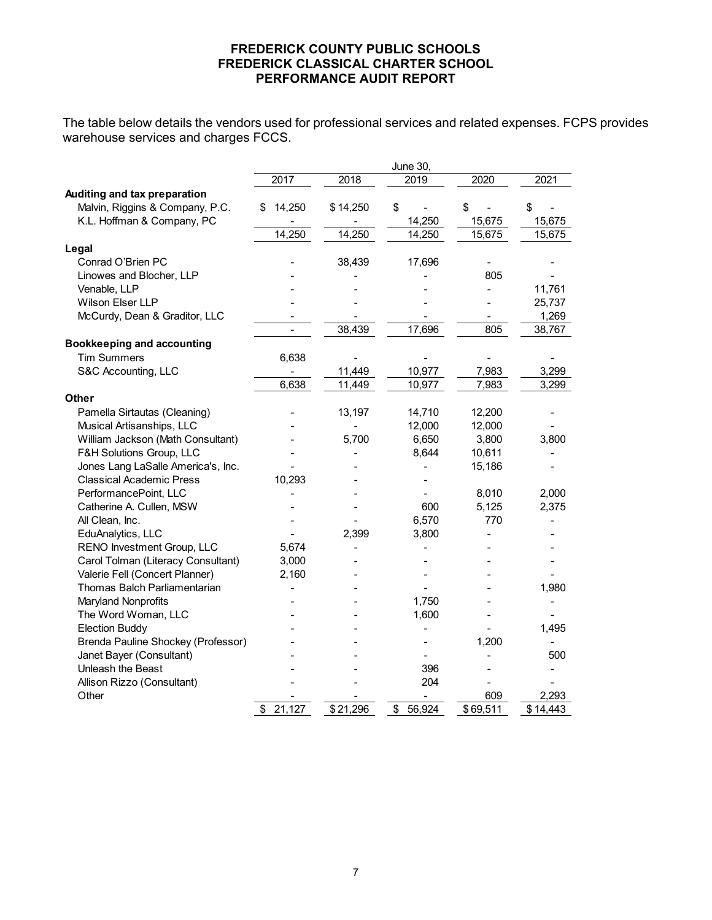The table below details the vendors used for professional services and related expenses. FCPS provides warehouse services and charges FCCS.

|                                    |              |          | June 30,     |          |          |
|------------------------------------|--------------|----------|--------------|----------|----------|
|                                    | 2017         | 2018     | 2019         | 2020     | 2021     |
| Auditing and tax preparation       |              |          |              |          |          |
| Malvin, Riggins & Company, P.C.    | 14,250<br>\$ | \$14,250 | \$           | \$       | \$       |
| K.L. Hoffman & Company, PC         |              |          | 14,250       | 15,675   | 15,675   |
|                                    | 14,250       | 14,250   | 14,250       | 15,675   | 15,675   |
| Legal                              |              |          |              |          |          |
| Conrad O'Brien PC                  |              | 38,439   | 17,696       |          |          |
| Linowes and Blocher, LLP           |              |          |              | 805      |          |
| Venable, LLP                       |              |          |              |          | 11,761   |
| Wilson Elser LLP                   |              |          |              |          | 25,737   |
| McCurdy, Dean & Graditor, LLC      |              |          |              |          | 1,269    |
|                                    |              | 38,439   | 17,696       | 805      | 38,767   |
| <b>Bookkeeping and accounting</b>  |              |          |              |          |          |
| <b>Tim Summers</b>                 | 6,638        |          |              |          |          |
| S&C Accounting, LLC                |              | 11,449   | 10,977       | 7,983    | 3,299    |
|                                    | 6,638        | 11,449   | 10,977       | 7,983    | 3,299    |
| Other                              |              |          |              |          |          |
| Pamella Sirtautas (Cleaning)       |              | 13,197   | 14,710       | 12,200   |          |
| Musical Artisanships, LLC          |              |          | 12,000       | 12,000   |          |
| William Jackson (Math Consultant)  |              | 5,700    | 6,650        | 3,800    | 3,800    |
| F&H Solutions Group, LLC           |              |          | 8,644        | 10,611   |          |
| Jones Lang LaSalle America's, Inc. |              |          |              | 15,186   |          |
| <b>Classical Academic Press</b>    | 10,293       |          |              |          |          |
| PerformancePoint, LLC              |              |          |              | 8,010    | 2,000    |
| Catherine A. Cullen, MSW           |              |          | 600          | 5,125    | 2,375    |
| All Clean, Inc.                    |              |          | 6,570        | 770      |          |
| EduAnalytics, LLC                  |              | 2,399    | 3,800        |          |          |
| RENO Investment Group, LLC         | 5,674        |          |              |          |          |
| Carol Tolman (Literacy Consultant) | 3,000        |          |              |          |          |
| Valerie Fell (Concert Planner)     | 2,160        |          |              |          |          |
| Thomas Balch Parliamentarian       |              |          |              |          | 1,980    |
| Maryland Nonprofits                |              |          | 1,750        |          |          |
| The Word Woman, LLC                |              |          | 1,600        |          |          |
| <b>Election Buddy</b>              |              |          |              |          | 1,495    |
| Brenda Pauline Shockey (Professor) |              |          |              | 1,200    |          |
| Janet Bayer (Consultant)           |              |          |              |          | 500      |
| Unleash the Beast                  |              |          | 396          |          |          |
| Allison Rizzo (Consultant)         |              |          | 204          |          |          |
| Other                              |              |          |              | 609      | 2,293    |
|                                    | 21,127<br>\$ | \$21,296 | 56,924<br>\$ | \$69,511 | \$14,443 |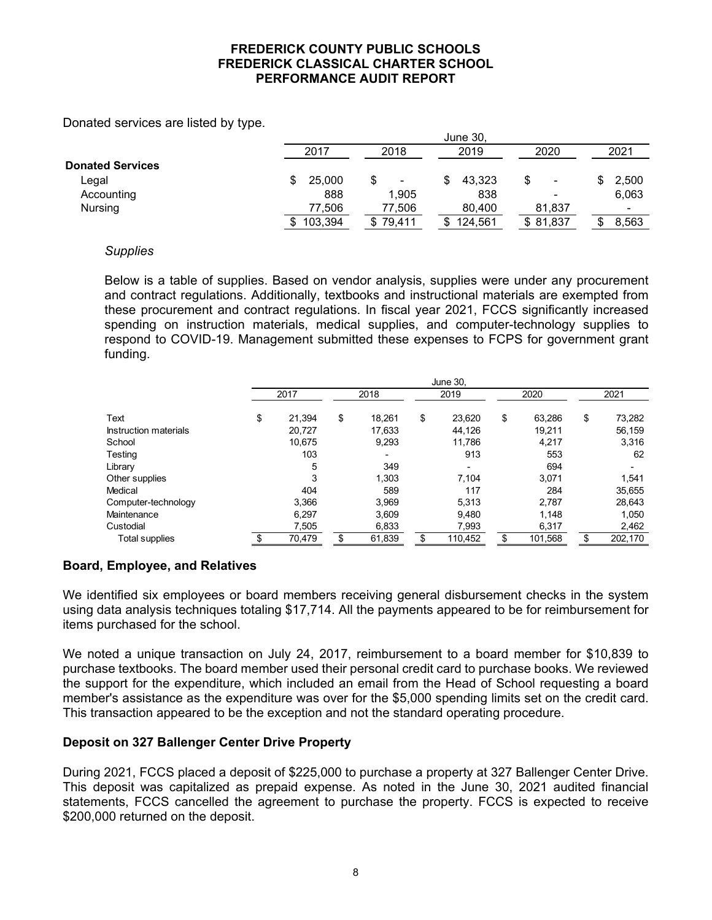Donated services are listed by type.

|                         | June 30, |                          |         |                          |       |  |  |  |  |  |  |
|-------------------------|----------|--------------------------|---------|--------------------------|-------|--|--|--|--|--|--|
|                         | 2017     | 2018                     | 2019    | 2020                     | 2021  |  |  |  |  |  |  |
| <b>Donated Services</b> |          |                          |         |                          |       |  |  |  |  |  |  |
| ∟egal                   | 25,000   | $\overline{\phantom{a}}$ | 43.323  | ۰                        | 2,500 |  |  |  |  |  |  |
| Accounting              | 888      | 1.905                    | 838     | $\overline{\phantom{a}}$ | 6,063 |  |  |  |  |  |  |
| <b>Nursing</b>          | 77,506   | 77,506                   | 80,400  | 81,837                   |       |  |  |  |  |  |  |
|                         | 103,394  | 79.411                   | 124.561 | \$81,837                 | 8,563 |  |  |  |  |  |  |

### *Supplies*

Below is a table of supplies. Based on vendor analysis, supplies were under any procurement and contract regulations. Additionally, textbooks and instructional materials are exempted from these procurement and contract regulations. In fiscal year 2021, FCCS significantly increased spending on instruction materials, medical supplies, and computer-technology supplies to respond to COVID-19. Management submitted these expenses to FCPS for government grant funding.

|                       | <b>June 30,</b> |        |    |                          |    |         |    |         |    |         |
|-----------------------|-----------------|--------|----|--------------------------|----|---------|----|---------|----|---------|
|                       |                 | 2017   |    | 2018                     |    | 2019    |    | 2020    |    | 2021    |
| Text                  | \$              | 21,394 | \$ | 18.261                   | \$ | 23,620  | \$ | 63,286  | \$ | 73,282  |
| Instruction materials |                 | 20,727 |    | 17.633                   |    | 44,126  |    | 19,211  |    | 56,159  |
| School                |                 | 10.675 |    | 9,293                    |    | 11.786  |    | 4,217   |    | 3,316   |
| Testing               |                 | 103    |    | $\overline{\phantom{0}}$ |    | 913     |    | 553     |    | 62      |
| Library               |                 | 5      |    | 349                      |    |         |    | 694     |    |         |
| Other supplies        |                 | 3      |    | 1,303                    |    | 7,104   |    | 3,071   |    | 1,541   |
| Medical               |                 | 404    |    | 589                      |    | 117     |    | 284     |    | 35,655  |
| Computer-technology   |                 | 3,366  |    | 3.969                    |    | 5,313   |    | 2,787   |    | 28,643  |
| Maintenance           |                 | 6,297  |    | 3.609                    |    | 9.480   |    | 1,148   |    | 1,050   |
| Custodial             |                 | 7,505  |    | 6,833                    |    | 7,993   |    | 6,317   |    | 2,462   |
| Total supplies        |                 | 70,479 | \$ | 61,839                   |    | 110,452 |    | 101,568 | \$ | 202,170 |

## **Board, Employee, and Relatives**

We identified six employees or board members receiving general disbursement checks in the system using data analysis techniques totaling \$17,714. All the payments appeared to be for reimbursement for items purchased for the school.

We noted a unique transaction on July 24, 2017, reimbursement to a board member for \$10,839 to purchase textbooks. The board member used their personal credit card to purchase books. We reviewed the support for the expenditure, which included an email from the Head of School requesting a board member's assistance as the expenditure was over for the \$5,000 spending limits set on the credit card. This transaction appeared to be the exception and not the standard operating procedure.

## **Deposit on 327 Ballenger Center Drive Property**

During 2021, FCCS placed a deposit of \$225,000 to purchase a property at 327 Ballenger Center Drive. This deposit was capitalized as prepaid expense. As noted in the June 30, 2021 audited financial statements, FCCS cancelled the agreement to purchase the property. FCCS is expected to receive \$200,000 returned on the deposit.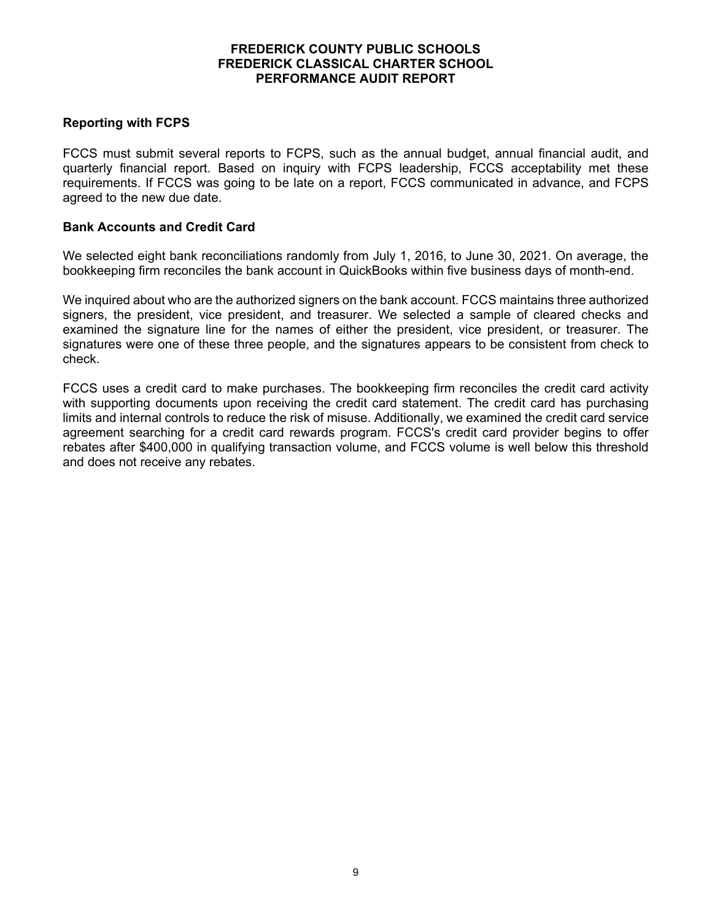## **Reporting with FCPS**

FCCS must submit several reports to FCPS, such as the annual budget, annual financial audit, and quarterly financial report. Based on inquiry with FCPS leadership, FCCS acceptability met these requirements. If FCCS was going to be late on a report, FCCS communicated in advance, and FCPS agreed to the new due date.

### **Bank Accounts and Credit Card**

We selected eight bank reconciliations randomly from July 1, 2016, to June 30, 2021. On average, the bookkeeping firm reconciles the bank account in QuickBooks within five business days of month-end.

We inquired about who are the authorized signers on the bank account. FCCS maintains three authorized signers, the president, vice president, and treasurer. We selected a sample of cleared checks and examined the signature line for the names of either the president, vice president, or treasurer. The signatures were one of these three people, and the signatures appears to be consistent from check to check.

FCCS uses a credit card to make purchases. The bookkeeping firm reconciles the credit card activity with supporting documents upon receiving the credit card statement. The credit card has purchasing limits and internal controls to reduce the risk of misuse. Additionally, we examined the credit card service agreement searching for a credit card rewards program. FCCS's credit card provider begins to offer rebates after \$400,000 in qualifying transaction volume, and FCCS volume is well below this threshold and does not receive any rebates.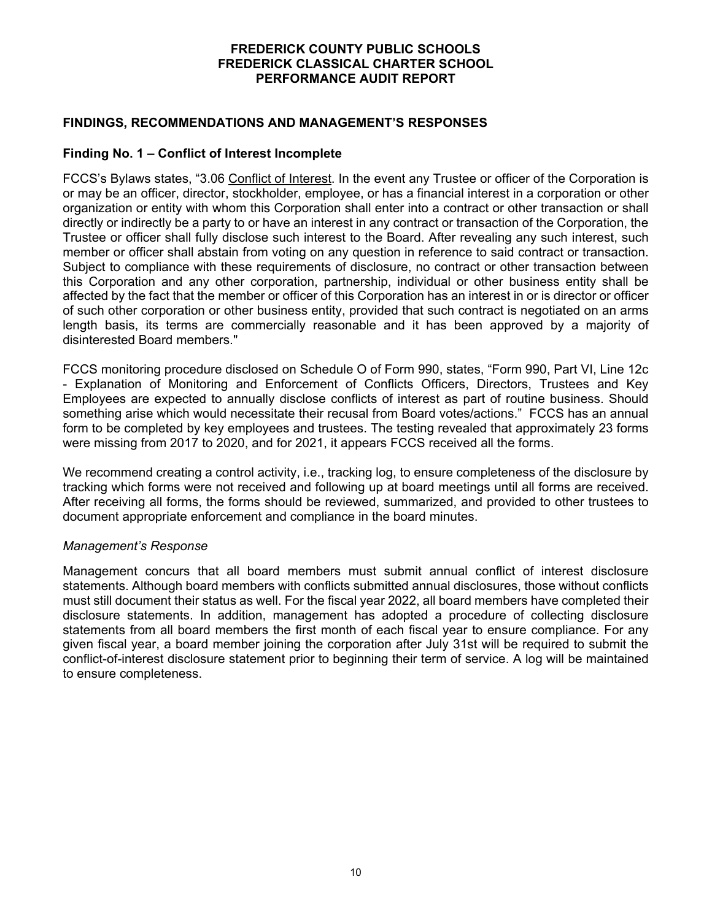### **FINDINGS, RECOMMENDATIONS AND MANAGEMENT'S RESPONSES**

### **Finding No. 1 – Conflict of Interest Incomplete**

FCCS's Bylaws states, "3.06 Conflict of Interest. In the event any Trustee or officer of the Corporation is or may be an officer, director, stockholder, employee, or has a financial interest in a corporation or other organization or entity with whom this Corporation shall enter into a contract or other transaction or shall directly or indirectly be a party to or have an interest in any contract or transaction of the Corporation, the Trustee or officer shall fully disclose such interest to the Board. After revealing any such interest, such member or officer shall abstain from voting on any question in reference to said contract or transaction. Subject to compliance with these requirements of disclosure, no contract or other transaction between this Corporation and any other corporation, partnership, individual or other business entity shall be affected by the fact that the member or officer of this Corporation has an interest in or is director or officer of such other corporation or other business entity, provided that such contract is negotiated on an arms length basis, its terms are commercially reasonable and it has been approved by a majority of disinterested Board members."

FCCS monitoring procedure disclosed on Schedule O of Form 990, states, "Form 990, Part VI, Line 12c - Explanation of Monitoring and Enforcement of Conflicts Officers, Directors, Trustees and Key Employees are expected to annually disclose conflicts of interest as part of routine business. Should something arise which would necessitate their recusal from Board votes/actions." FCCS has an annual form to be completed by key employees and trustees. The testing revealed that approximately 23 forms were missing from 2017 to 2020, and for 2021, it appears FCCS received all the forms.

We recommend creating a control activity, i.e., tracking log, to ensure completeness of the disclosure by tracking which forms were not received and following up at board meetings until all forms are received. After receiving all forms, the forms should be reviewed, summarized, and provided to other trustees to document appropriate enforcement and compliance in the board minutes.

#### *Management's Response*

Management concurs that all board members must submit annual conflict of interest disclosure statements. Although board members with conflicts submitted annual disclosures, those without conflicts must still document their status as well. For the fiscal year 2022, all board members have completed their disclosure statements. In addition, management has adopted a procedure of collecting disclosure statements from all board members the first month of each fiscal year to ensure compliance. For any given fiscal year, a board member joining the corporation after July 31st will be required to submit the conflict-of-interest disclosure statement prior to beginning their term of service. A log will be maintained to ensure completeness.